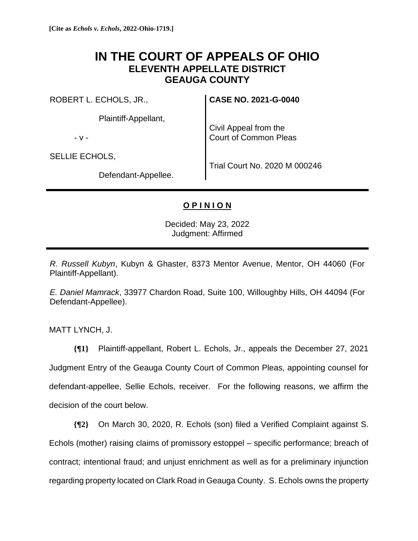## **IN THE COURT OF APPEALS OF OHIO ELEVENTH APPELLATE DISTRICT GEAUGA COUNTY**

ROBERT L. ECHOLS, JR.,

Plaintiff-Appellant,

- v -

SELLIE ECHOLS,

**CASE NO. 2021-G-0040**

Civil Appeal from the Court of Common Pleas

Defendant-Appellee.

Trial Court No. 2020 M 000246

## **O P I N I O N**

Decided: May 23, 2022 Judgment: Affirmed

*R. Russell Kubyn*, Kubyn & Ghaster, 8373 Mentor Avenue, Mentor, OH 44060 (For Plaintiff-Appellant).

*E. Daniel Mamrack*, 33977 Chardon Road, Suite 100, Willoughby Hills, OH 44094 (For Defendant-Appellee).

MATT LYNCH, J.

**{¶1}** Plaintiff-appellant, Robert L. Echols, Jr., appeals the December 27, 2021 Judgment Entry of the Geauga County Court of Common Pleas, appointing counsel for defendant-appellee, Sellie Echols, receiver. For the following reasons, we affirm the decision of the court below.

**{¶2}** On March 30, 2020, R. Echols (son) filed a Verified Complaint against S. Echols (mother) raising claims of promissory estoppel – specific performance; breach of contract; intentional fraud; and unjust enrichment as well as for a preliminary injunction regarding property located on Clark Road in Geauga County. S. Echols owns the property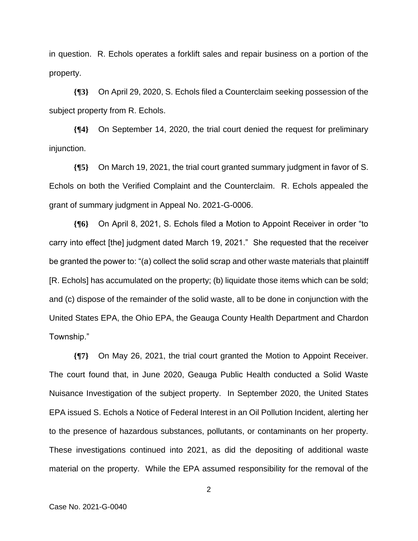in question. R. Echols operates a forklift sales and repair business on a portion of the property.

**{¶3}** On April 29, 2020, S. Echols filed a Counterclaim seeking possession of the subject property from R. Echols.

**{¶4}** On September 14, 2020, the trial court denied the request for preliminary injunction.

**{¶5}** On March 19, 2021, the trial court granted summary judgment in favor of S. Echols on both the Verified Complaint and the Counterclaim. R. Echols appealed the grant of summary judgment in Appeal No. 2021-G-0006.

**{¶6}** On April 8, 2021, S. Echols filed a Motion to Appoint Receiver in order "to carry into effect [the] judgment dated March 19, 2021." She requested that the receiver be granted the power to: "(a) collect the solid scrap and other waste materials that plaintiff [R. Echols] has accumulated on the property; (b) liquidate those items which can be sold; and (c) dispose of the remainder of the solid waste, all to be done in conjunction with the United States EPA, the Ohio EPA, the Geauga County Health Department and Chardon Township."

**{¶7}** On May 26, 2021, the trial court granted the Motion to Appoint Receiver. The court found that, in June 2020, Geauga Public Health conducted a Solid Waste Nuisance Investigation of the subject property. In September 2020, the United States EPA issued S. Echols a Notice of Federal Interest in an Oil Pollution Incident, alerting her to the presence of hazardous substances, pollutants, or contaminants on her property. These investigations continued into 2021, as did the depositing of additional waste material on the property. While the EPA assumed responsibility for the removal of the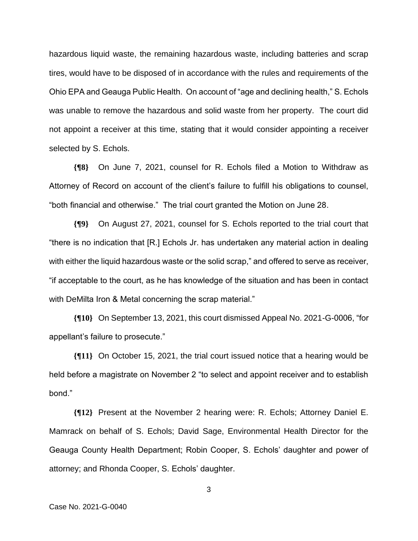hazardous liquid waste, the remaining hazardous waste, including batteries and scrap tires, would have to be disposed of in accordance with the rules and requirements of the Ohio EPA and Geauga Public Health. On account of "age and declining health," S. Echols was unable to remove the hazardous and solid waste from her property. The court did not appoint a receiver at this time, stating that it would consider appointing a receiver selected by S. Echols.

**{¶8}** On June 7, 2021, counsel for R. Echols filed a Motion to Withdraw as Attorney of Record on account of the client's failure to fulfill his obligations to counsel, "both financial and otherwise." The trial court granted the Motion on June 28.

**{¶9}** On August 27, 2021, counsel for S. Echols reported to the trial court that "there is no indication that [R.] Echols Jr. has undertaken any material action in dealing with either the liquid hazardous waste or the solid scrap," and offered to serve as receiver, "if acceptable to the court, as he has knowledge of the situation and has been in contact with DeMilta Iron & Metal concerning the scrap material."

**{¶10}** On September 13, 2021, this court dismissed Appeal No. 2021-G-0006, "for appellant's failure to prosecute."

**{¶11}** On October 15, 2021, the trial court issued notice that a hearing would be held before a magistrate on November 2 "to select and appoint receiver and to establish bond."

**{¶12}** Present at the November 2 hearing were: R. Echols; Attorney Daniel E. Mamrack on behalf of S. Echols; David Sage, Environmental Health Director for the Geauga County Health Department; Robin Cooper, S. Echols' daughter and power of attorney; and Rhonda Cooper, S. Echols' daughter.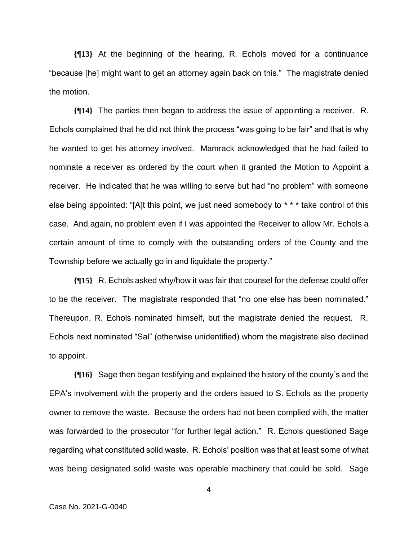**{¶13}** At the beginning of the hearing, R. Echols moved for a continuance "because [he] might want to get an attorney again back on this." The magistrate denied the motion.

**{¶14}** The parties then began to address the issue of appointing a receiver. R. Echols complained that he did not think the process "was going to be fair" and that is why he wanted to get his attorney involved. Mamrack acknowledged that he had failed to nominate a receiver as ordered by the court when it granted the Motion to Appoint a receiver. He indicated that he was willing to serve but had "no problem" with someone else being appointed: "[A]t this point, we just need somebody to \* \* \* take control of this case. And again, no problem even if I was appointed the Receiver to allow Mr. Echols a certain amount of time to comply with the outstanding orders of the County and the Township before we actually go in and liquidate the property."

**{¶15}** R. Echols asked why/how it was fair that counsel for the defense could offer to be the receiver. The magistrate responded that "no one else has been nominated." Thereupon, R. Echols nominated himself, but the magistrate denied the request. R. Echols next nominated "Sal" (otherwise unidentified) whom the magistrate also declined to appoint.

**{¶16}** Sage then began testifying and explained the history of the county's and the EPA's involvement with the property and the orders issued to S. Echols as the property owner to remove the waste. Because the orders had not been complied with, the matter was forwarded to the prosecutor "for further legal action." R. Echols questioned Sage regarding what constituted solid waste. R. Echols' position was that at least some of what was being designated solid waste was operable machinery that could be sold. Sage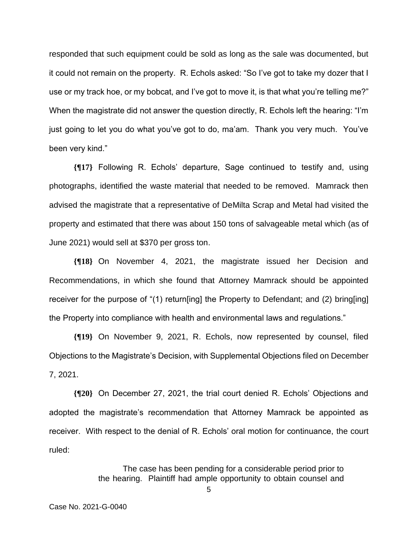responded that such equipment could be sold as long as the sale was documented, but it could not remain on the property. R. Echols asked: "So I've got to take my dozer that I use or my track hoe, or my bobcat, and I've got to move it, is that what you're telling me?" When the magistrate did not answer the question directly, R. Echols left the hearing: "I'm just going to let you do what you've got to do, ma'am. Thank you very much. You've been very kind."

**{¶17}** Following R. Echols' departure, Sage continued to testify and, using photographs, identified the waste material that needed to be removed. Mamrack then advised the magistrate that a representative of DeMilta Scrap and Metal had visited the property and estimated that there was about 150 tons of salvageable metal which (as of June 2021) would sell at \$370 per gross ton.

**{¶18}** On November 4, 2021, the magistrate issued her Decision and Recommendations, in which she found that Attorney Mamrack should be appointed receiver for the purpose of "(1) return[ing] the Property to Defendant; and (2) bring[ing] the Property into compliance with health and environmental laws and regulations."

**{¶19}** On November 9, 2021, R. Echols, now represented by counsel, filed Objections to the Magistrate's Decision, with Supplemental Objections filed on December 7, 2021.

**{¶20}** On December 27, 2021, the trial court denied R. Echols' Objections and adopted the magistrate's recommendation that Attorney Mamrack be appointed as receiver. With respect to the denial of R. Echols' oral motion for continuance, the court ruled:

> The case has been pending for a considerable period prior to the hearing. Plaintiff had ample opportunity to obtain counsel and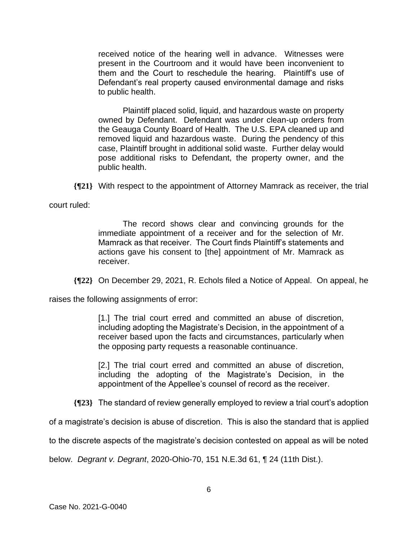received notice of the hearing well in advance. Witnesses were present in the Courtroom and it would have been inconvenient to them and the Court to reschedule the hearing. Plaintiff's use of Defendant's real property caused environmental damage and risks to public health.

Plaintiff placed solid, liquid, and hazardous waste on property owned by Defendant. Defendant was under clean-up orders from the Geauga County Board of Health. The U.S. EPA cleaned up and removed liquid and hazardous waste. During the pendency of this case, Plaintiff brought in additional solid waste. Further delay would pose additional risks to Defendant, the property owner, and the public health.

**{¶21}** With respect to the appointment of Attorney Mamrack as receiver, the trial

court ruled:

The record shows clear and convincing grounds for the immediate appointment of a receiver and for the selection of Mr. Mamrack as that receiver. The Court finds Plaintiff's statements and actions gave his consent to [the] appointment of Mr. Mamrack as receiver.

**{¶22}** On December 29, 2021, R. Echols filed a Notice of Appeal. On appeal, he

raises the following assignments of error:

[1.] The trial court erred and committed an abuse of discretion, including adopting the Magistrate's Decision, in the appointment of a receiver based upon the facts and circumstances, particularly when the opposing party requests a reasonable continuance.

[2.] The trial court erred and committed an abuse of discretion, including the adopting of the Magistrate's Decision, in the appointment of the Appellee's counsel of record as the receiver.

**{¶23}** The standard of review generally employed to review a trial court's adoption

of a magistrate's decision is abuse of discretion. This is also the standard that is applied

to the discrete aspects of the magistrate's decision contested on appeal as will be noted

below. *Degrant v. Degrant*, 2020-Ohio-70, 151 N.E.3d 61, ¶ 24 (11th Dist.).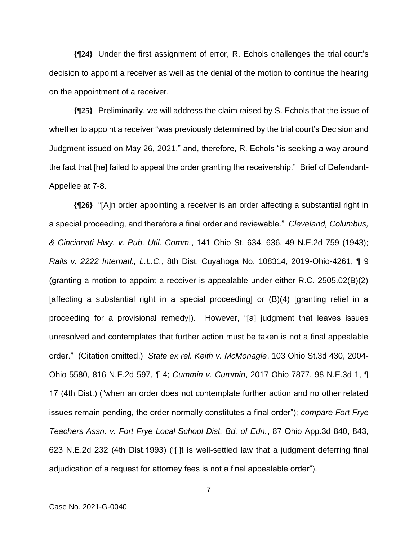**{¶24}** Under the first assignment of error, R. Echols challenges the trial court's decision to appoint a receiver as well as the denial of the motion to continue the hearing on the appointment of a receiver.

**{¶25}** Preliminarily, we will address the claim raised by S. Echols that the issue of whether to appoint a receiver "was previously determined by the trial court's Decision and Judgment issued on May 26, 2021," and, therefore, R. Echols "is seeking a way around the fact that [he] failed to appeal the order granting the receivership." Brief of Defendant-Appellee at 7-8.

**{¶26}** "[A]n order appointing a receiver is an order affecting a substantial right in a special proceeding, and therefore a final order and reviewable." *Cleveland, Columbus, & Cincinnati Hwy. v. Pub. Util. Comm.*, 141 Ohio St. 634, 636, 49 N.E.2d 759 (1943); *Ralls v. 2222 Internatl., L.L.C.*, 8th Dist. Cuyahoga No. 108314, 2019-Ohio-4261, ¶ 9 (granting a motion to appoint a receiver is appealable under either R.C. 2505.02(B)(2) [affecting a substantial right in a special proceeding] or (B)(4) [granting relief in a proceeding for a provisional remedy]). However, "[a] judgment that leaves issues unresolved and contemplates that further action must be taken is not a final appealable order." (Citation omitted.) *State ex rel. Keith v. McMonagle*, 103 Ohio St.3d 430, 2004- Ohio-5580, 816 N.E.2d 597, ¶ 4; *Cummin v. Cummin*, 2017-Ohio-7877, 98 N.E.3d 1, ¶ 17 (4th Dist.) ("when an order does not contemplate further action and no other related issues remain pending, the order normally constitutes a final order"); *compare Fort Frye Teachers Assn. v. Fort Frye Local School Dist. Bd. of Edn.*, 87 Ohio App.3d 840, 843, 623 N.E.2d 232 (4th Dist.1993) ("[i]t is well-settled law that a judgment deferring final adjudication of a request for attorney fees is not a final appealable order").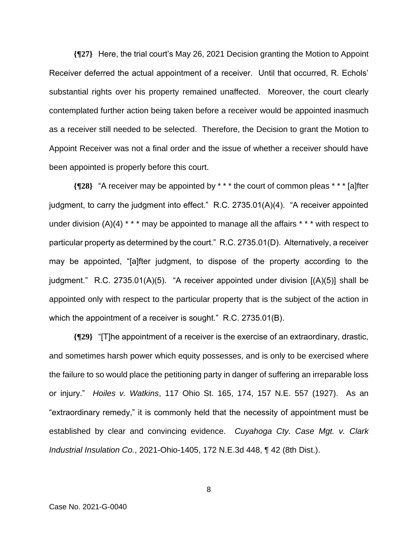**{¶27}** Here, the trial court's May 26, 2021 Decision granting the Motion to Appoint Receiver deferred the actual appointment of a receiver. Until that occurred, R. Echols' substantial rights over his property remained unaffected. Moreover, the court clearly contemplated further action being taken before a receiver would be appointed inasmuch as a receiver still needed to be selected. Therefore, the Decision to grant the Motion to Appoint Receiver was not a final order and the issue of whether a receiver should have been appointed is properly before this court.

**{¶28}** "A receiver may be appointed by \* \* \* the court of common pleas \* \* \* [a]fter judgment, to carry the judgment into effect." R.C. 2735.01(A)(4). "A receiver appointed under division (A)(4)  $* * *$  may be appointed to manage all the affairs  $* * *$  with respect to particular property as determined by the court." R.C. 2735.01(D). Alternatively, a receiver may be appointed, "[a]fter judgment, to dispose of the property according to the judgment." R.C. 2735.01(A)(5). "A receiver appointed under division  $[(A)(5)]$  shall be appointed only with respect to the particular property that is the subject of the action in which the appointment of a receiver is sought." R.C. 2735.01(B).

**{¶29}** "[T]he appointment of a receiver is the exercise of an extraordinary, drastic, and sometimes harsh power which equity possesses, and is only to be exercised where the failure to so would place the petitioning party in danger of suffering an irreparable loss or injury." *Hoiles v. Watkins*, 117 Ohio St. 165, 174, 157 N.E. 557 (1927). As an "extraordinary remedy," it is commonly held that the necessity of appointment must be established by clear and convincing evidence. *Cuyahoga Cty. Case Mgt. v. Clark Industrial Insulation Co.*, 2021-Ohio-1405, 172 N.E.3d 448, ¶ 42 (8th Dist.).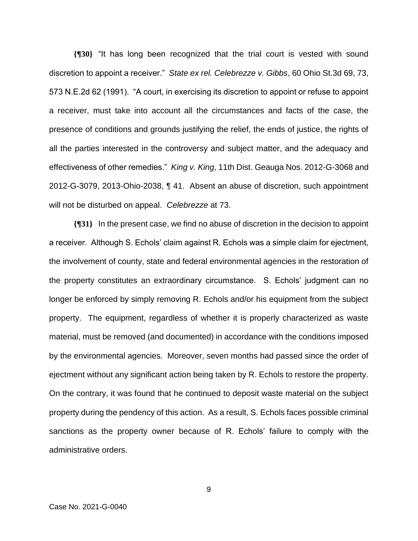**{¶30}** "It has long been recognized that the trial court is vested with sound discretion to appoint a receiver." *State ex rel. Celebrezze v. Gibbs*, 60 Ohio St.3d 69, 73, 573 N.E.2d 62 (1991). "A court, in exercising its discretion to appoint or refuse to appoint a receiver, must take into account all the circumstances and facts of the case, the presence of conditions and grounds justifying the relief, the ends of justice, the rights of all the parties interested in the controversy and subject matter, and the adequacy and effectiveness of other remedies." *King v. King*, 11th Dist. Geauga Nos. 2012-G-3068 and 2012-G-3079, 2013-Ohio-2038, ¶ 41. Absent an abuse of discretion, such appointment will not be disturbed on appeal. *Celebrezze* at 73.

**{¶31}** In the present case, we find no abuse of discretion in the decision to appoint a receiver. Although S. Echols' claim against R. Echols was a simple claim for ejectment, the involvement of county, state and federal environmental agencies in the restoration of the property constitutes an extraordinary circumstance. S. Echols' judgment can no longer be enforced by simply removing R. Echols and/or his equipment from the subject property. The equipment, regardless of whether it is properly characterized as waste material, must be removed (and documented) in accordance with the conditions imposed by the environmental agencies. Moreover, seven months had passed since the order of ejectment without any significant action being taken by R. Echols to restore the property. On the contrary, it was found that he continued to deposit waste material on the subject property during the pendency of this action. As a result, S. Echols faces possible criminal sanctions as the property owner because of R. Echols' failure to comply with the administrative orders.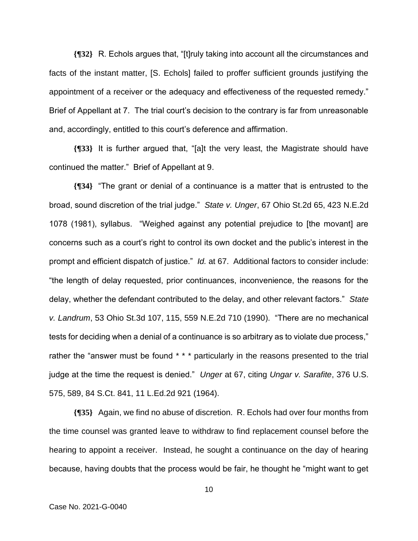**{¶32}** R. Echols argues that, "[t]ruly taking into account all the circumstances and facts of the instant matter, [S. Echols] failed to proffer sufficient grounds justifying the appointment of a receiver or the adequacy and effectiveness of the requested remedy." Brief of Appellant at 7. The trial court's decision to the contrary is far from unreasonable and, accordingly, entitled to this court's deference and affirmation.

**{¶33}** It is further argued that, "[a]t the very least, the Magistrate should have continued the matter." Brief of Appellant at 9.

**{¶34}** "The grant or denial of a continuance is a matter that is entrusted to the broad, sound discretion of the trial judge." *State v. Unger*, 67 Ohio St.2d 65, 423 N.E.2d 1078 (1981), syllabus. "Weighed against any potential prejudice to [the movant] are concerns such as a court's right to control its own docket and the public's interest in the prompt and efficient dispatch of justice." *Id.* at 67. Additional factors to consider include: "the length of delay requested, prior continuances, inconvenience, the reasons for the delay, whether the defendant contributed to the delay, and other relevant factors." *State v. Landrum*, 53 Ohio St.3d 107, 115, 559 N.E.2d 710 (1990). "There are no mechanical tests for deciding when a denial of a continuance is so arbitrary as to violate due process," rather the "answer must be found \* \* \* particularly in the reasons presented to the trial judge at the time the request is denied." *Unger* at 67, citing *Ungar v. Sarafite*, 376 U.S. 575, 589, 84 S.Ct. 841, 11 L.Ed.2d 921 (1964).

**{¶35}** Again, we find no abuse of discretion. R. Echols had over four months from the time counsel was granted leave to withdraw to find replacement counsel before the hearing to appoint a receiver. Instead, he sought a continuance on the day of hearing because, having doubts that the process would be fair, he thought he "might want to get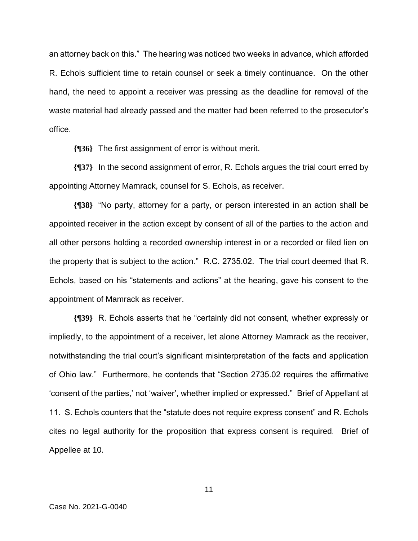an attorney back on this." The hearing was noticed two weeks in advance, which afforded R. Echols sufficient time to retain counsel or seek a timely continuance. On the other hand, the need to appoint a receiver was pressing as the deadline for removal of the waste material had already passed and the matter had been referred to the prosecutor's office.

**{¶36}** The first assignment of error is without merit.

**{¶37}** In the second assignment of error, R. Echols argues the trial court erred by appointing Attorney Mamrack, counsel for S. Echols, as receiver.

**{¶38}** "No party, attorney for a party, or person interested in an action shall be appointed receiver in the action except by consent of all of the parties to the action and all other persons holding a recorded ownership interest in or a recorded or filed lien on the property that is subject to the action." R.C. 2735.02. The trial court deemed that R. Echols, based on his "statements and actions" at the hearing, gave his consent to the appointment of Mamrack as receiver.

**{¶39}** R. Echols asserts that he "certainly did not consent, whether expressly or impliedly, to the appointment of a receiver, let alone Attorney Mamrack as the receiver, notwithstanding the trial court's significant misinterpretation of the facts and application of Ohio law." Furthermore, he contends that "Section 2735.02 requires the affirmative 'consent of the parties,' not 'waiver', whether implied or expressed." Brief of Appellant at 11. S. Echols counters that the "statute does not require express consent" and R. Echols cites no legal authority for the proposition that express consent is required. Brief of Appellee at 10.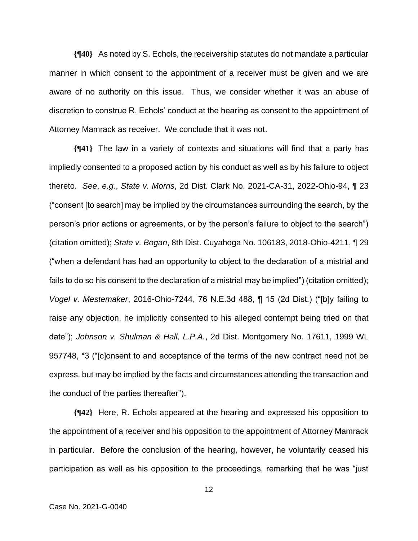**{¶40}** As noted by S. Echols, the receivership statutes do not mandate a particular manner in which consent to the appointment of a receiver must be given and we are aware of no authority on this issue. Thus, we consider whether it was an abuse of discretion to construe R. Echols' conduct at the hearing as consent to the appointment of Attorney Mamrack as receiver. We conclude that it was not.

**{¶41}** The law in a variety of contexts and situations will find that a party has impliedly consented to a proposed action by his conduct as well as by his failure to object thereto. *See*, *e.g.*, *State v. Morris*, 2d Dist. Clark No. 2021-CA-31, 2022-Ohio-94, ¶ 23 ("consent [to search] may be implied by the circumstances surrounding the search, by the person's prior actions or agreements, or by the person's failure to object to the search") (citation omitted); *State v. Bogan*, 8th Dist. Cuyahoga No. 106183, 2018-Ohio-4211, ¶ 29 ("when a defendant has had an opportunity to object to the declaration of a mistrial and fails to do so his consent to the declaration of a mistrial may be implied") (citation omitted); *Vogel v. Mestemaker*, 2016-Ohio-7244, 76 N.E.3d 488, ¶ 15 (2d Dist.) ("[b]y failing to raise any objection, he implicitly consented to his alleged contempt being tried on that date"); *Johnson v. Shulman & Hall, L.P.A.*, 2d Dist. Montgomery No. 17611, 1999 WL 957748, \*3 ("[c]onsent to and acceptance of the terms of the new contract need not be express, but may be implied by the facts and circumstances attending the transaction and the conduct of the parties thereafter").

**{¶42}** Here, R. Echols appeared at the hearing and expressed his opposition to the appointment of a receiver and his opposition to the appointment of Attorney Mamrack in particular. Before the conclusion of the hearing, however, he voluntarily ceased his participation as well as his opposition to the proceedings, remarking that he was "just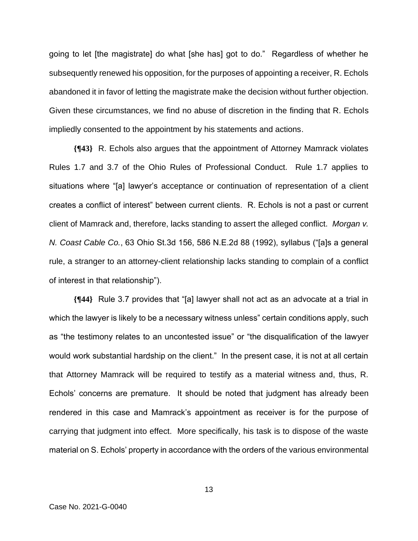going to let [the magistrate] do what [she has] got to do." Regardless of whether he subsequently renewed his opposition, for the purposes of appointing a receiver, R. Echols abandoned it in favor of letting the magistrate make the decision without further objection. Given these circumstances, we find no abuse of discretion in the finding that R. Echols impliedly consented to the appointment by his statements and actions.

**{¶43}** R. Echols also argues that the appointment of Attorney Mamrack violates Rules 1.7 and 3.7 of the Ohio Rules of Professional Conduct. Rule 1.7 applies to situations where "[a] lawyer's acceptance or continuation of representation of a client creates a conflict of interest" between current clients. R. Echols is not a past or current client of Mamrack and, therefore, lacks standing to assert the alleged conflict. *Morgan v. N. Coast Cable Co.*, 63 Ohio St.3d 156, 586 N.E.2d 88 (1992), syllabus ("[a]s a general rule, a stranger to an attorney-client relationship lacks standing to complain of a conflict of interest in that relationship").

**{¶44}** Rule 3.7 provides that "[a] lawyer shall not act as an advocate at a trial in which the lawyer is likely to be a necessary witness unless" certain conditions apply, such as "the testimony relates to an uncontested issue" or "the disqualification of the lawyer would work substantial hardship on the client." In the present case, it is not at all certain that Attorney Mamrack will be required to testify as a material witness and, thus, R. Echols' concerns are premature. It should be noted that judgment has already been rendered in this case and Mamrack's appointment as receiver is for the purpose of carrying that judgment into effect. More specifically, his task is to dispose of the waste material on S. Echols' property in accordance with the orders of the various environmental